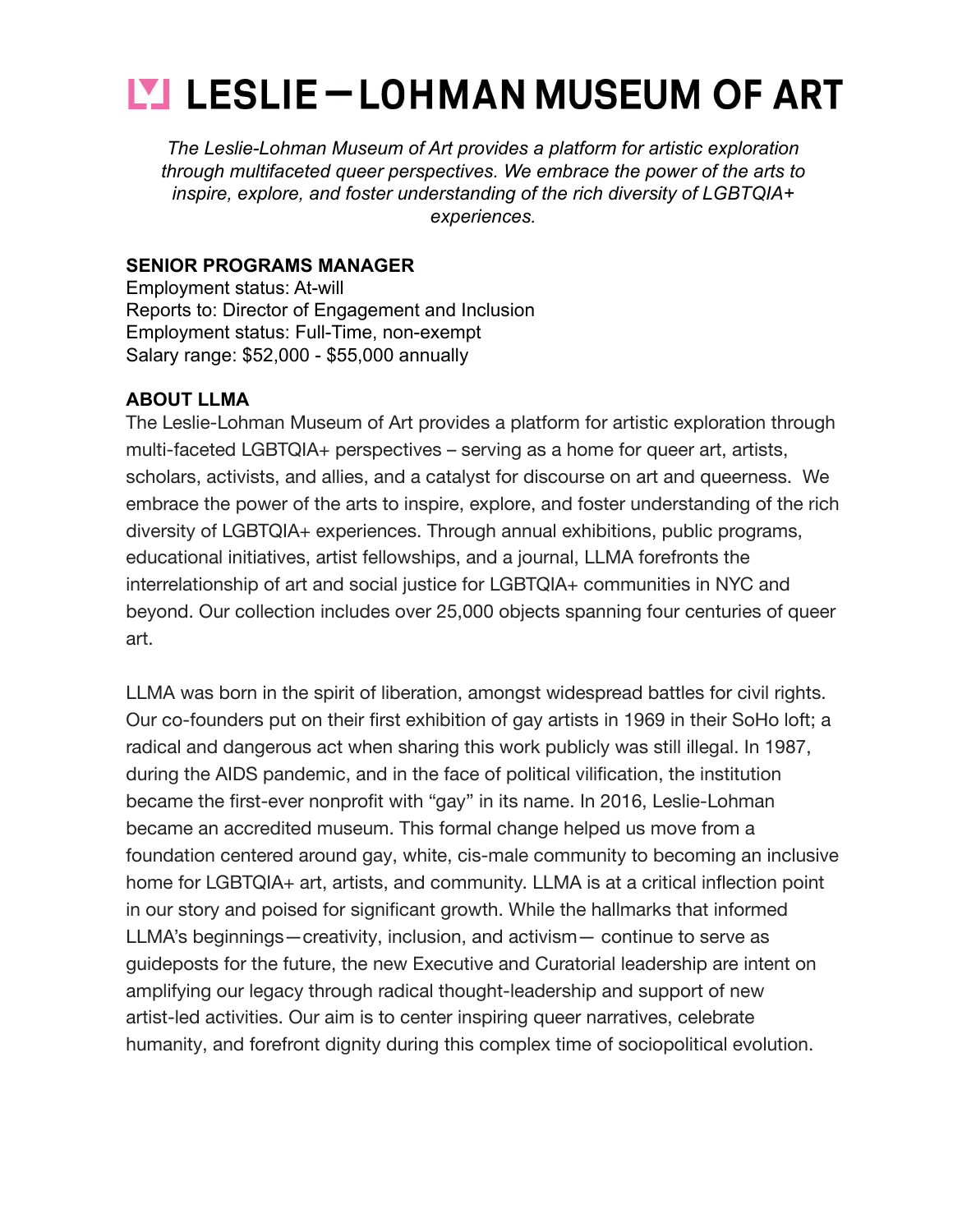# **LESLIE — LOHMAN MUSEUM OF ART**

*The Leslie-Lohman Museum of Art provides a platform for artistic exploration through multifaceted queer perspectives. We embrace the power of the arts to inspire, explore, and foster understanding of the rich diversity of LGBTQIA+ experiences.*

#### **SENIOR PROGRAMS MANAGER**

Employment status: At-will Reports to: Director of Engagement and Inclusion Employment status: Full-Time, non-exempt Salary range: \$52,000 - \$55,000 annually

#### **ABOUT LLMA**

The Leslie-Lohman Museum of Art provides a platform for artistic exploration through multi-faceted LGBTQIA+ perspectives – serving as a home for queer art, artists, scholars, activists, and allies, and a catalyst for discourse on art and queerness. We embrace the power of the arts to inspire, explore, and foster understanding of the rich diversity of LGBTQIA+ experiences. Through annual exhibitions, public programs, educational initiatives, artist fellowships, and a journal, LLMA forefronts the interrelationship of art and social justice for LGBTQIA+ communities in NYC and beyond. Our collection includes over 25,000 objects spanning four centuries of queer art.

LLMA was born in the spirit of liberation, amongst widespread battles for civil rights. Our co-founders put on their first exhibition of gay artists in 1969 in their SoHo loft; a radical and dangerous act when sharing this work publicly was still illegal. In 1987, during the AIDS pandemic, and in the face of political vilification, the institution became the first-ever nonprofit with "gay" in its name. In 2016, Leslie-Lohman became an accredited museum. This formal change helped us move from a foundation centered around gay, white, cis-male community to becoming an inclusive home for LGBTQIA+ art, artists, and community. LLMA is at a critical inflection point in our story and poised for significant growth. While the hallmarks that informed LLMA's beginnings—creativity, inclusion, and activism— continue to serve as guideposts for the future, the new Executive and Curatorial leadership are intent on amplifying our legacy through radical thought-leadership and support of new artist-led activities. Our aim is to center inspiring queer narratives, celebrate humanity, and forefront dignity during this complex time of sociopolitical evolution.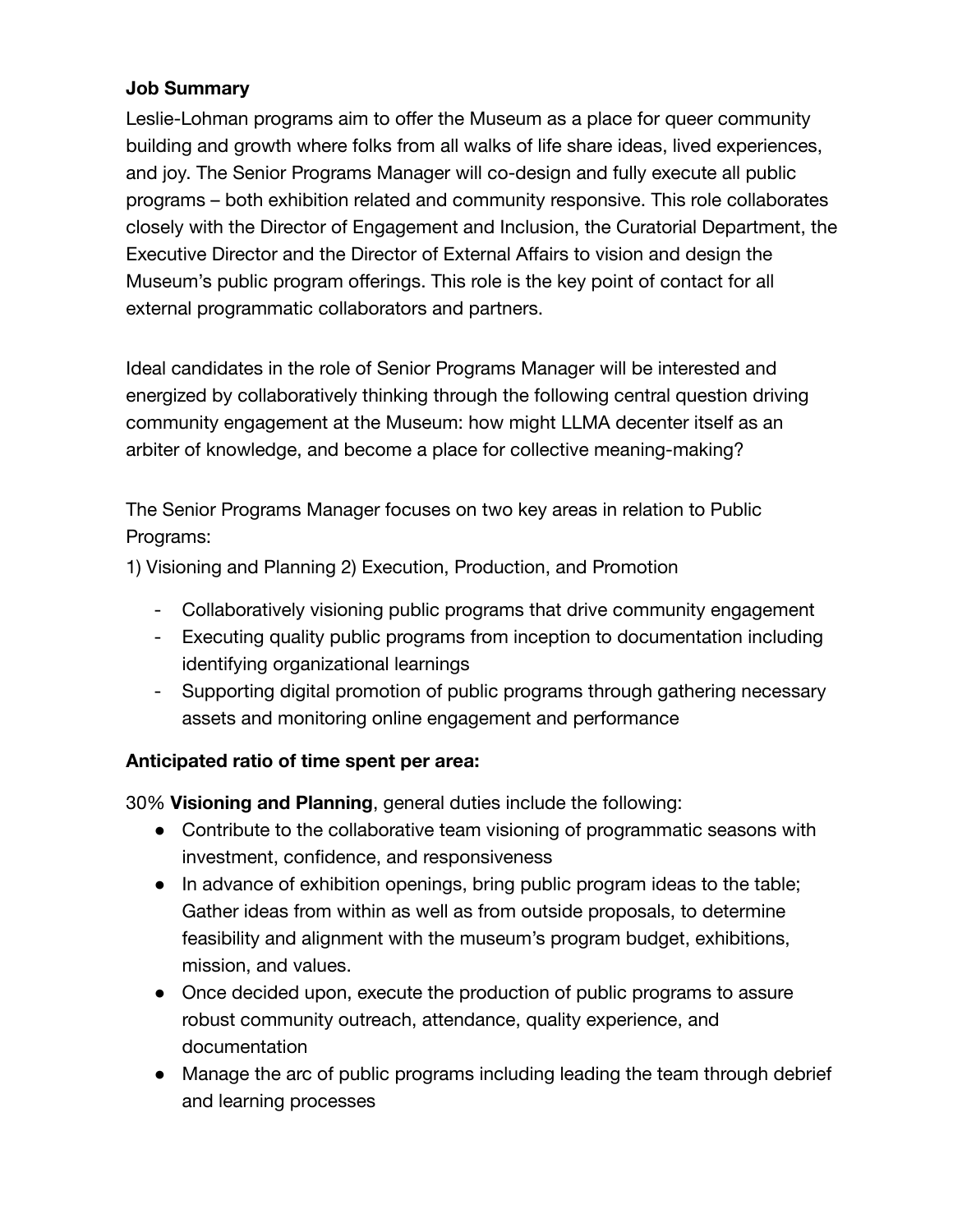#### **Job Summary**

Leslie-Lohman programs aim to offer the Museum as a place for queer community building and growth where folks from all walks of life share ideas, lived experiences, and joy. The Senior Programs Manager will co-design and fully execute all public programs – both exhibition related and community responsive. This role collaborates closely with the Director of Engagement and Inclusion, the Curatorial Department, the Executive Director and the Director of External Affairs to vision and design the Museum's public program offerings. This role is the key point of contact for all external programmatic collaborators and partners.

Ideal candidates in the role of Senior Programs Manager will be interested and energized by collaboratively thinking through the following central question driving community engagement at the Museum: how might LLMA decenter itself as an arbiter of knowledge, and become a place for collective meaning-making?

The Senior Programs Manager focuses on two key areas in relation to Public Programs:

1) Visioning and Planning 2) Execution, Production, and Promotion

- Collaboratively visioning public programs that drive community engagement
- Executing quality public programs from inception to documentation including identifying organizational learnings
- Supporting digital promotion of public programs through gathering necessary assets and monitoring online engagement and performance

#### **Anticipated ratio of time spent per area:**

30% **Visioning and Planning**, general duties include the following:

- Contribute to the collaborative team visioning of programmatic seasons with investment, confidence, and responsiveness
- In advance of exhibition openings, bring public program ideas to the table; Gather ideas from within as well as from outside proposals, to determine feasibility and alignment with the museum's program budget, exhibitions, mission, and values.
- Once decided upon, execute the production of public programs to assure robust community outreach, attendance, quality experience, and documentation
- Manage the arc of public programs including leading the team through debrief and learning processes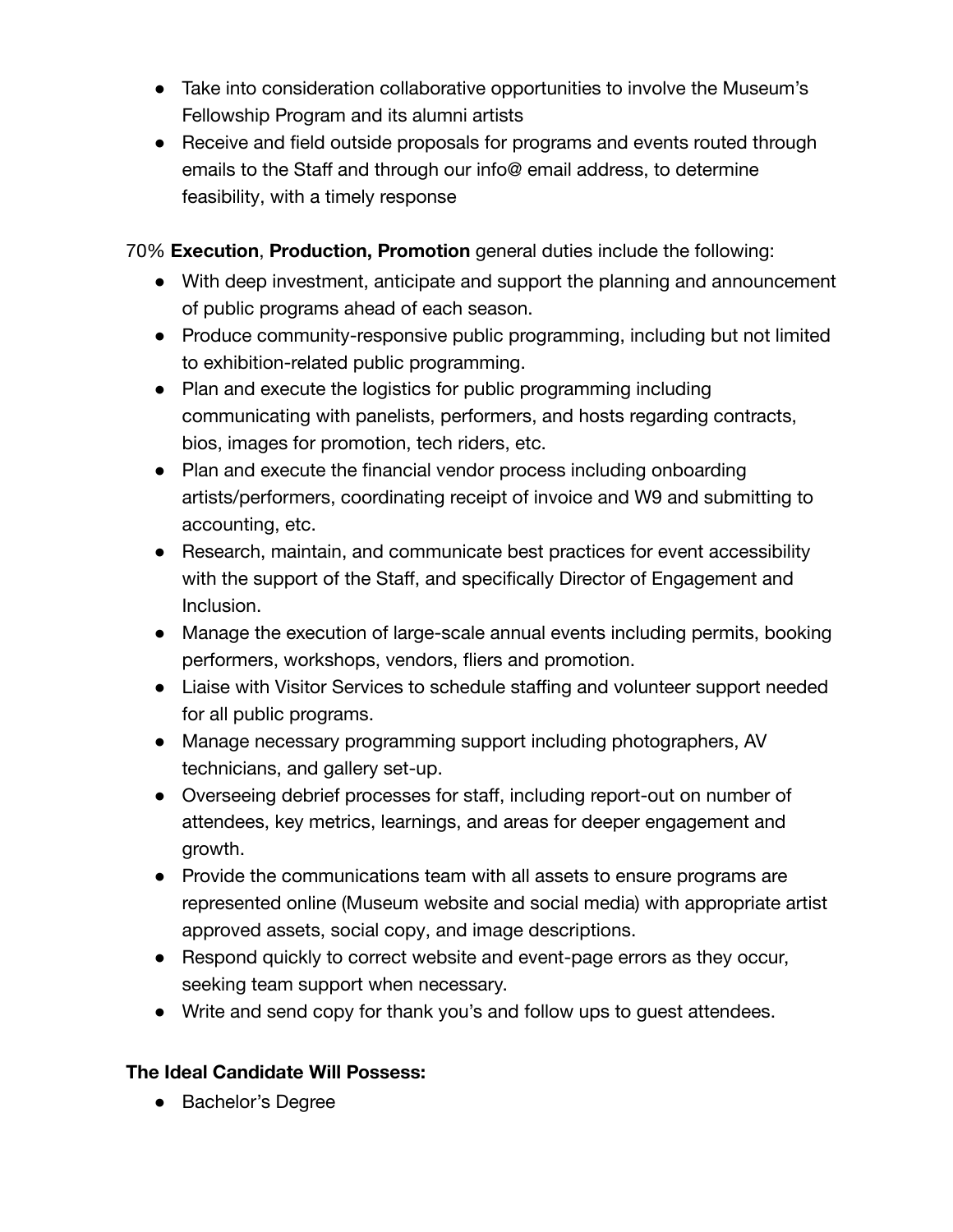- Take into consideration collaborative opportunities to involve the Museum's Fellowship Program and its alumni artists
- Receive and field outside proposals for programs and events routed through emails to the Staff and through our info@ email address, to determine feasibility, with a timely response

70% **Execution**, **Production, Promotion** general duties include the following:

- With deep investment, anticipate and support the planning and announcement of public programs ahead of each season.
- Produce community-responsive public programming, including but not limited to exhibition-related public programming.
- Plan and execute the logistics for public programming including communicating with panelists, performers, and hosts regarding contracts, bios, images for promotion, tech riders, etc.
- Plan and execute the financial vendor process including onboarding artists/performers, coordinating receipt of invoice and W9 and submitting to accounting, etc.
- Research, maintain, and communicate best practices for event accessibility with the support of the Staff, and specifically Director of Engagement and Inclusion.
- Manage the execution of large-scale annual events including permits, booking performers, workshops, vendors, fliers and promotion.
- Liaise with Visitor Services to schedule staffing and volunteer support needed for all public programs.
- Manage necessary programming support including photographers, AV technicians, and gallery set-up.
- Overseeing debrief processes for staff, including report-out on number of attendees, key metrics, learnings, and areas for deeper engagement and growth.
- Provide the communications team with all assets to ensure programs are represented online (Museum website and social media) with appropriate artist approved assets, social copy, and image descriptions.
- Respond quickly to correct website and event-page errors as they occur, seeking team support when necessary.
- Write and send copy for thank you's and follow ups to guest attendees.

## **The Ideal Candidate Will Possess:**

● Bachelor's Degree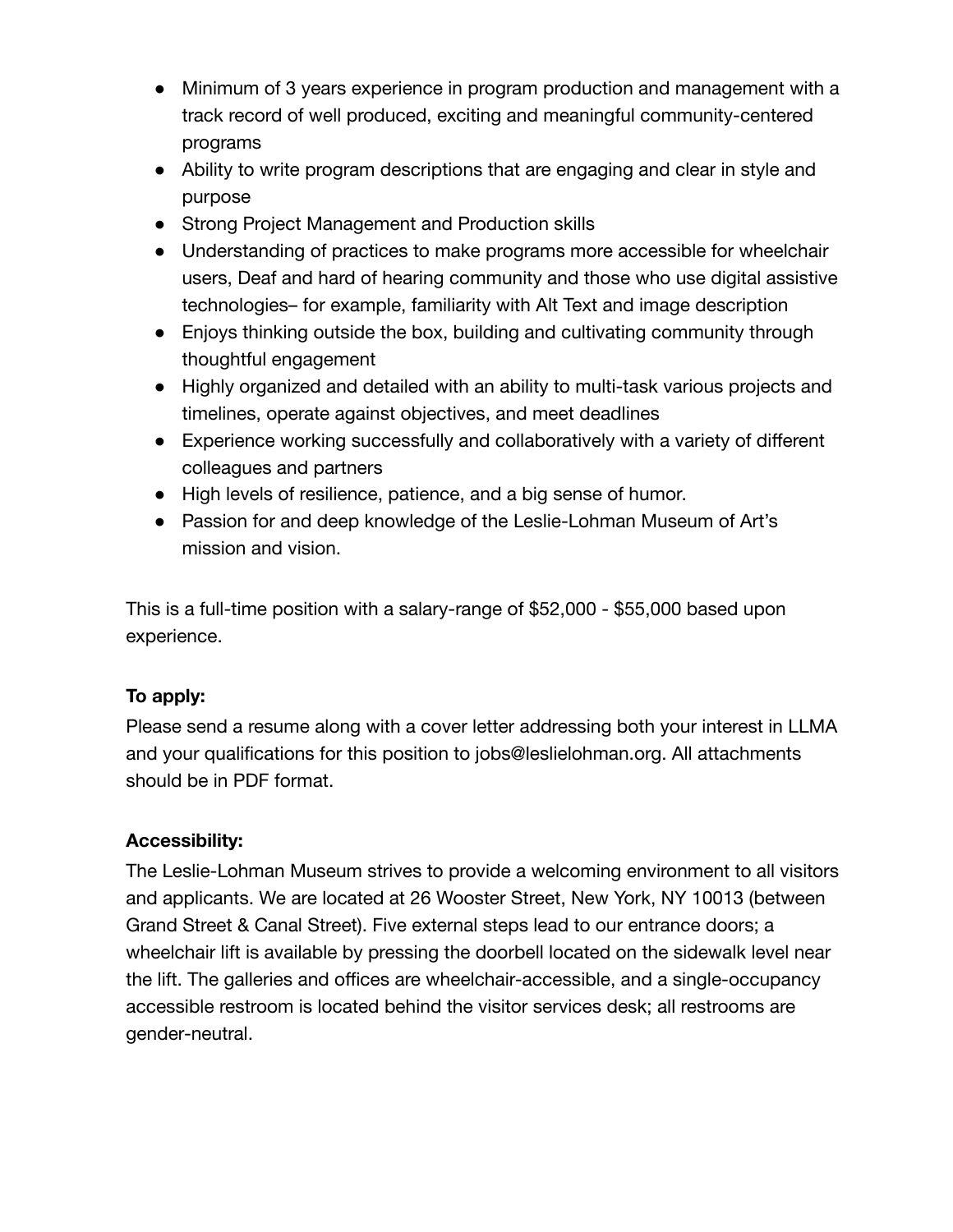- Minimum of 3 years experience in program production and management with a track record of well produced, exciting and meaningful community-centered programs
- Ability to write program descriptions that are engaging and clear in style and purpose
- Strong Project Management and Production skills
- Understanding of practices to make programs more accessible for wheelchair users, Deaf and hard of hearing community and those who use digital assistive technologies– for example, familiarity with Alt Text and image description
- Enjoys thinking outside the box, building and cultivating community through thoughtful engagement
- Highly organized and detailed with an ability to multi-task various projects and timelines, operate against objectives, and meet deadlines
- Experience working successfully and collaboratively with a variety of different colleagues and partners
- High levels of resilience, patience, and a big sense of humor.
- Passion for and deep knowledge of the Leslie-Lohman Museum of Art's mission and vision.

This is a full-time position with a salary-range of \$52,000 - \$55,000 based upon experience.

### **To apply:**

Please send a resume along with a cover letter addressing both your interest in LLMA and your qualifications for this position to jobs@leslielohman.org. All attachments should be in PDF format.

#### **Accessibility:**

The Leslie-Lohman Museum strives to provide a welcoming environment to all visitors and applicants. We are located at 26 Wooster Street, New York, NY 10013 (between Grand Street & Canal Street). Five external steps lead to our entrance doors; a wheelchair lift is available by pressing the doorbell located on the sidewalk level near the lift. The galleries and offices are wheelchair-accessible, and a single-occupancy accessible restroom is located behind the visitor services desk; all restrooms are gender-neutral.